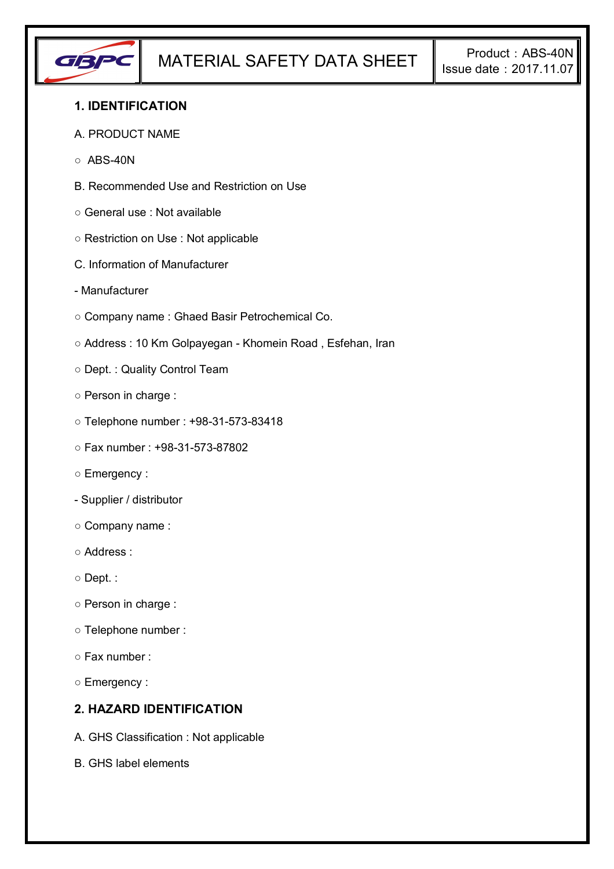

## **1. IDENTIFICATION**

#### A. PRODUCT NAME

- $\circ$  ABS-40N
- B. Recommended Use and Restriction on Use
- General use : Not available
- Restriction on Use : Not applicable
- C. Information of Manufacturer
- Manufacturer
- Company name : Ghaed Basir Petrochemical Co.
- Address : 10 Km Golpayegan Khomein Road , Esfehan, Iran
- Dept. : Quality Control Team
- Person in charge :
- Telephone number : +98-31-573-83418
- Fax number : +98-31-573-87802
- Emergency :
- Supplier / distributor
- Company name :
- Address :
- Dept. :
- Person in charge :
- Telephone number :
- Fax number :
- Emergency :

## **2. HAZARD IDENTIFICATION**

- A. GHS Classification : Not applicable
- B. GHS label elements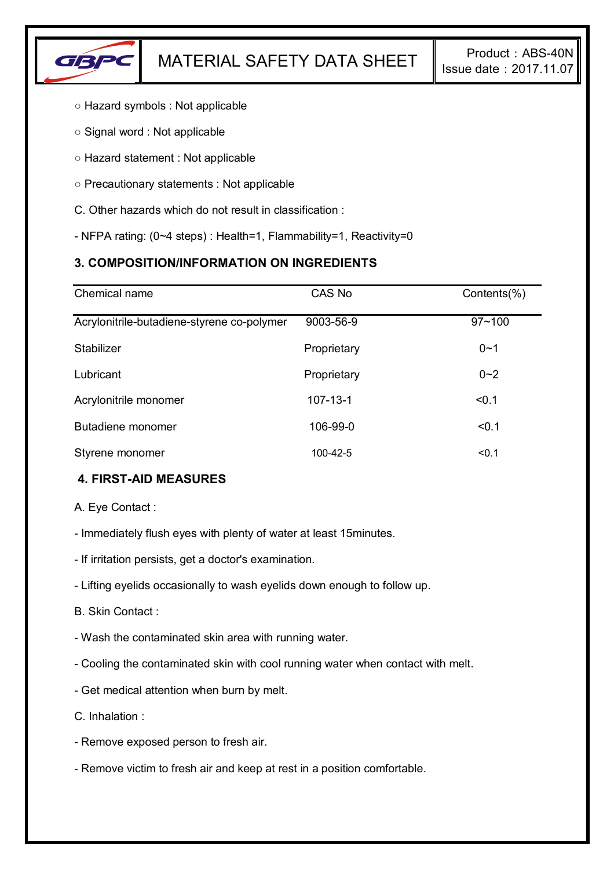

- Hazard symbols : Not applicable
- Signal word : Not applicable
- Hazard statement : Not applicable
- Precautionary statements : Not applicable
- C. Other hazards which do not result in classification :
- NFPA rating: (0~4 steps) : Health=1, Flammability=1, Reactivity=0

# **3. COMPOSITION/INFORMATION ON INGREDIENTS**

| Chemical name                              | CAS No         | Contents(%) |
|--------------------------------------------|----------------|-------------|
| Acrylonitrile-butadiene-styrene co-polymer | 9003-56-9      | $97 - 100$  |
| Stabilizer                                 | Proprietary    | $0 - 1$     |
| Lubricant                                  | Proprietary    | $0 - 2$     |
| Acrylonitrile monomer                      | $107 - 13 - 1$ | < 0.1       |
| Butadiene monomer                          | 106-99-0       | < 0.1       |
| Styrene monomer                            | 100-42-5       | < 0.1       |

# **4. FIRST-AID MEASURES**

A. Eye Contact :

- Immediately flush eyes with plenty of water at least 15minutes.
- If irritation persists, get a doctor's examination.
- Lifting eyelids occasionally to wash eyelids down enough to follow up.
- B. Skin Contact :
- Wash the contaminated skin area with running water.
- Cooling the contaminated skin with cool running water when contact with melt.
- Get medical attention when burn by melt.
- C. Inhalation :
- Remove exposed person to fresh air.
- Remove victim to fresh air and keep at rest in a position comfortable.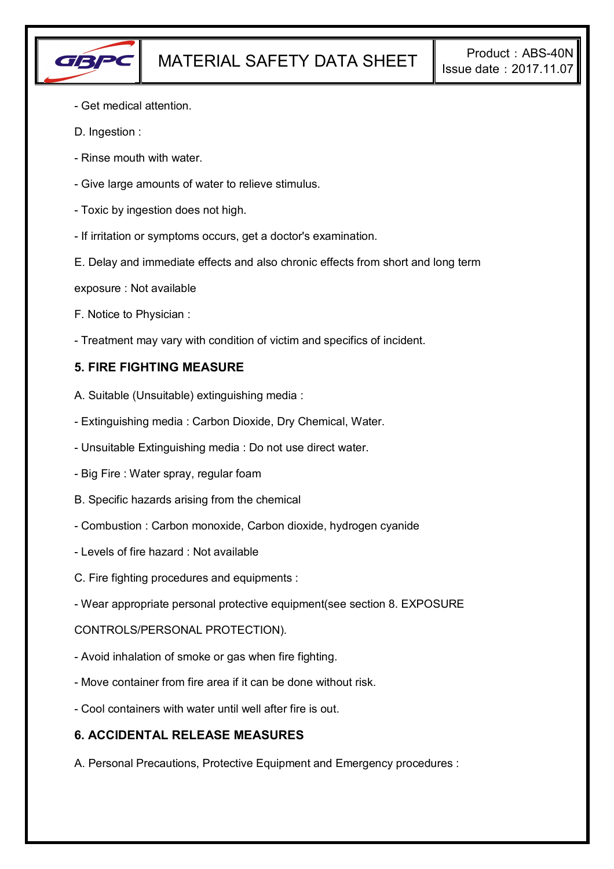

- Get medical attention.
- D. Ingestion :
- Rinse mouth with water.
- Give large amounts of water to relieve stimulus.
- Toxic by ingestion does not high.
- If irritation or symptoms occurs, get a doctor's examination.
- E. Delay and immediate effects and also chronic effects from short and long term
- exposure : Not available
- F. Notice to Physician :
- Treatment may vary with condition of victim and specifics of incident.

## **5. FIRE FIGHTING MEASURE**

- A. Suitable (Unsuitable) extinguishing media :
- Extinguishing media : Carbon Dioxide, Dry Chemical, Water.
- Unsuitable Extinguishing media : Do not use direct water.
- Big Fire : Water spray, regular foam
- B. Specific hazards arising from the chemical
- Combustion : Carbon monoxide, Carbon dioxide, hydrogen cyanide
- Levels of fire hazard : Not available
- C. Fire fighting procedures and equipments :
- Wear appropriate personal protective equipment(see section 8. EXPOSURE

### CONTROLS/PERSONAL PROTECTION).

- Avoid inhalation of smoke or gas when fire fighting.
- Move container from fire area if it can be done without risk.
- Cool containers with water until well after fire is out.

### **6. ACCIDENTAL RELEASE MEASURES**

A. Personal Precautions, Protective Equipment and Emergency procedures :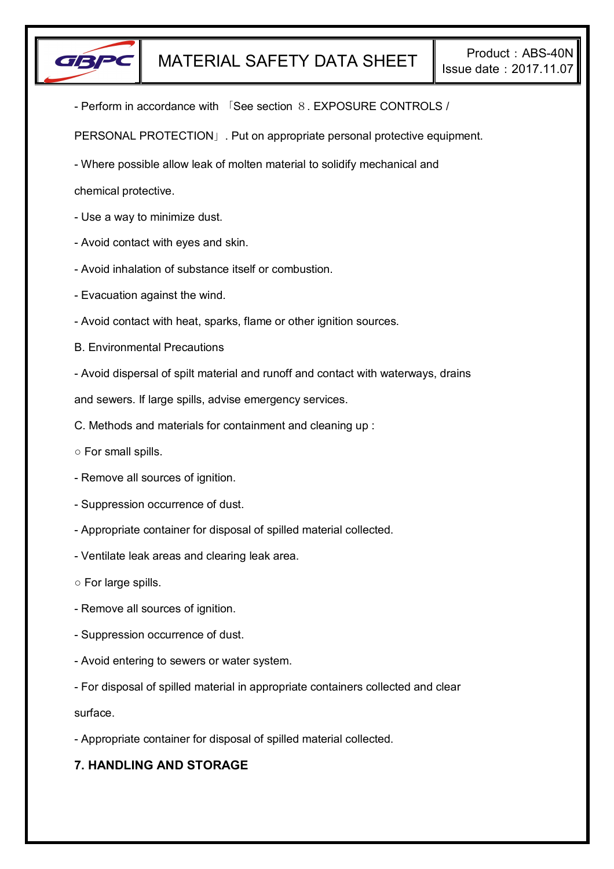

- Perform in accordance with 「See section 8. EXPOSURE CONTROLS /

PERSONAL PROTECTION」. Put on appropriate personal protective equipment.

- Where possible allow leak of molten material to solidify mechanical and

chemical protective.

- Use a way to minimize dust.
- Avoid contact with eyes and skin.
- Avoid inhalation of substance itself or combustion.
- Evacuation against the wind.
- Avoid contact with heat, sparks, flame or other ignition sources.
- B. Environmental Precautions
- Avoid dispersal of spilt material and runoff and contact with waterways, drains

and sewers. If large spills, advise emergency services.

- C. Methods and materials for containment and cleaning up :
- For small spills.
- Remove all sources of ignition.
- Suppression occurrence of dust.
- Appropriate container for disposal of spilled material collected.
- Ventilate leak areas and clearing leak area.
- For large spills.
- Remove all sources of ignition.
- Suppression occurrence of dust.
- Avoid entering to sewers or water system.
- For disposal of spilled material in appropriate containers collected and clear

surface.

- Appropriate container for disposal of spilled material collected.

# **7. HANDLING AND STORAGE**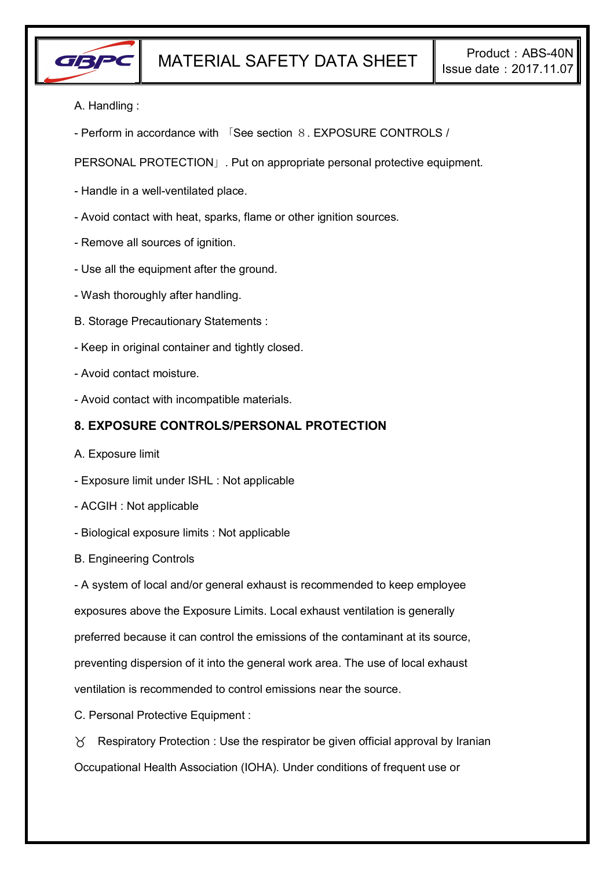

- A. Handling :
- Perform in accordance with 「See section 8. EXPOSURE CONTROLS /

PERSONAL PROTECTION」. Put on appropriate personal protective equipment.

- Handle in a well-ventilated place.
- Avoid contact with heat, sparks, flame or other ignition sources.
- Remove all sources of ignition.
- Use all the equipment after the ground.
- Wash thoroughly after handling.
- B. Storage Precautionary Statements :
- Keep in original container and tightly closed.
- Avoid contact moisture.
- Avoid contact with incompatible materials.

### **8. EXPOSURE CONTROLS/PERSONAL PROTECTION**

- A. Exposure limit
- Exposure limit under ISHL : Not applicable
- ACGIH : Not applicable
- Biological exposure limits : Not applicable
- B. Engineering Controls

- A system of local and/or general exhaust is recommended to keep employee exposures above the Exposure Limits. Local exhaust ventilation is generally preferred because it can control the emissions of the contaminant at its source, preventing dispersion of it into the general work area. The use of local exhaust ventilation is recommended to control emissions near the source.

C. Personal Protective Equipment :

 $\gamma$  Respiratory Protection : Use the respirator be given official approval by Iranian Occupational Health Association (IOHA). Under conditions of frequent use or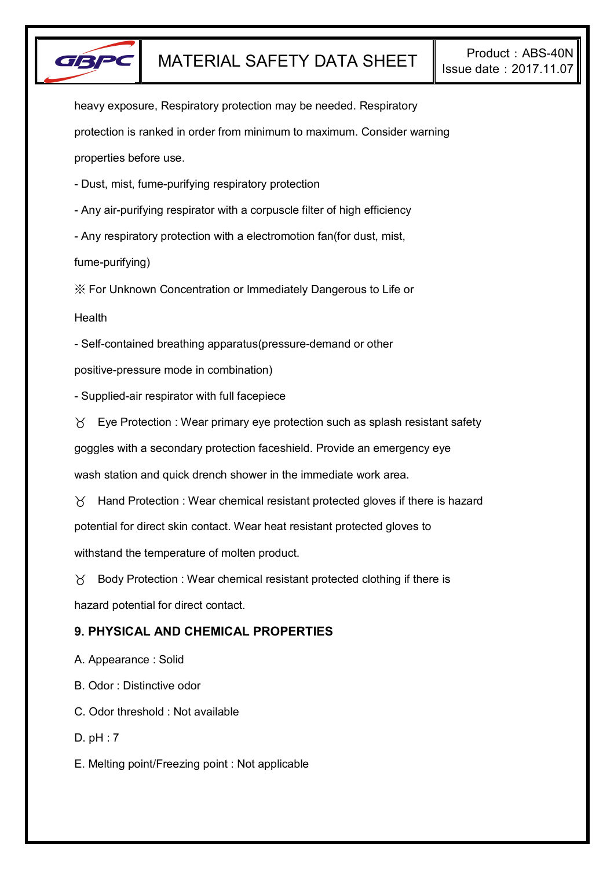

heavy exposure, Respiratory protection may be needed. Respiratory protection is ranked in order from minimum to maximum. Consider warning properties before use.

- Dust, mist, fume-purifying respiratory protection

- Any air-purifying respirator with a corpuscle filter of high efficiency

- Any respiratory protection with a electromotion fan(for dust, mist,

fume-purifying)

※ For Unknown Concentration or Immediately Dangerous to Life or

**Health** 

- Self-contained breathing apparatus(pressure-demand or other

positive-pressure mode in combination)

- Supplied-air respirator with full facepiece

 $\forall$  Eye Protection : Wear primary eye protection such as splash resistant safety

goggles with a secondary protection faceshield. Provide an emergency eye

wash station and quick drench shower in the immediate work area.

 $\gamma$  Hand Protection : Wear chemical resistant protected gloves if there is hazard potential for direct skin contact. Wear heat resistant protected gloves to withstand the temperature of molten product.

 $\gamma$  Body Protection : Wear chemical resistant protected clothing if there is hazard potential for direct contact.

# **9. PHYSICAL AND CHEMICAL PROPERTIES**

A. Appearance : Solid

B. Odor : Distinctive odor

C. Odor threshold : Not available

D. pH : 7

E. Melting point/Freezing point : Not applicable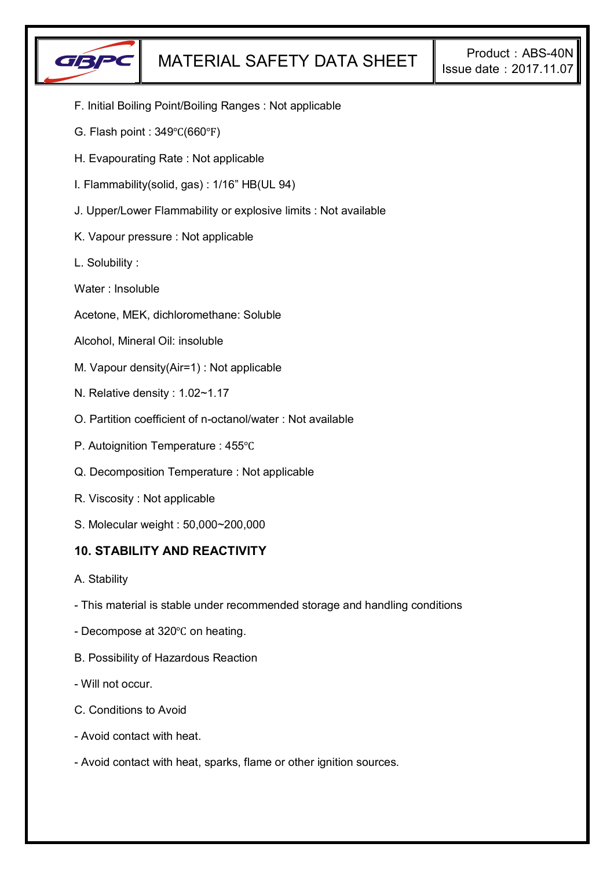

- F. Initial Boiling Point/Boiling Ranges : Not applicable
- G. Flash point : 349℃(660℉)
- H. Evapourating Rate : Not applicable
- I. Flammability(solid, gas) : 1/16" HB(UL 94)
- J. Upper/Lower Flammability or explosive limits : Not available
- K. Vapour pressure : Not applicable
- L. Solubility :
- Water : Insoluble
- Acetone, MEK, dichloromethane: Soluble
- Alcohol, Mineral Oil: insoluble
- M. Vapour density(Air=1) : Not applicable
- N. Relative density : 1.02~1.17
- O. Partition coefficient of n-octanol/water : Not available
- P. Autoignition Temperature : 455℃
- Q. Decomposition Temperature : Not applicable
- R. Viscosity : Not applicable
- S. Molecular weight : 50,000~200,000

### **10. STABILITY AND REACTIVITY**

- A. Stability
- This material is stable under recommended storage and handling conditions
- Decompose at 320℃ on heating.
- B. Possibility of Hazardous Reaction
- Will not occur.
- C. Conditions to Avoid
- Avoid contact with heat.
- Avoid contact with heat, sparks, flame or other ignition sources.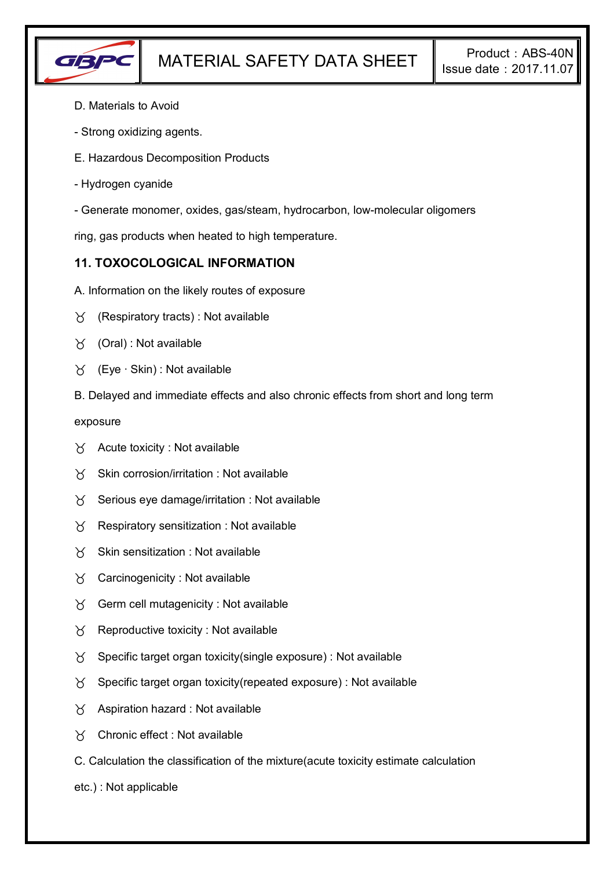

- D. Materials to Avoid
- Strong oxidizing agents.
- E. Hazardous Decomposition Products
- Hydrogen cyanide
- Generate monomer, oxides, gas/steam, hydrocarbon, low-molecular oligomers

ring, gas products when heated to high temperature.

## **11. TOXOCOLOGICAL INFORMATION**

- A. Information on the likely routes of exposure
- $\forall$  (Respiratory tracts) : Not available
- $\forall$  (Oral): Not available
- (Eye ∙ Skin) : Not available
- B. Delayed and immediate effects and also chronic effects from short and long term

exposure

- $\forall$  Acute toxicity : Not available
- $\gamma$  Skin corrosion/irritation : Not available
- $\gamma$  Serious eye damage/irritation : Not available
- $\gamma$  Respiratory sensitization : Not available
- $X$  Skin sensitization : Not available
- Carcinogenicity : Not available
- $\gamma$  Germ cell mutagenicity : Not available
- $\gamma$  Reproductive toxicity : Not available
- $\gamma$  Specific target organ toxicity(single exposure) : Not available
- $\gamma$  Specific target organ toxicity(repeated exposure) : Not available
- $\chi$  Aspiration hazard : Not available
- Chronic effect : Not available
- C. Calculation the classification of the mixture(acute toxicity estimate calculation
- etc.) : Not applicable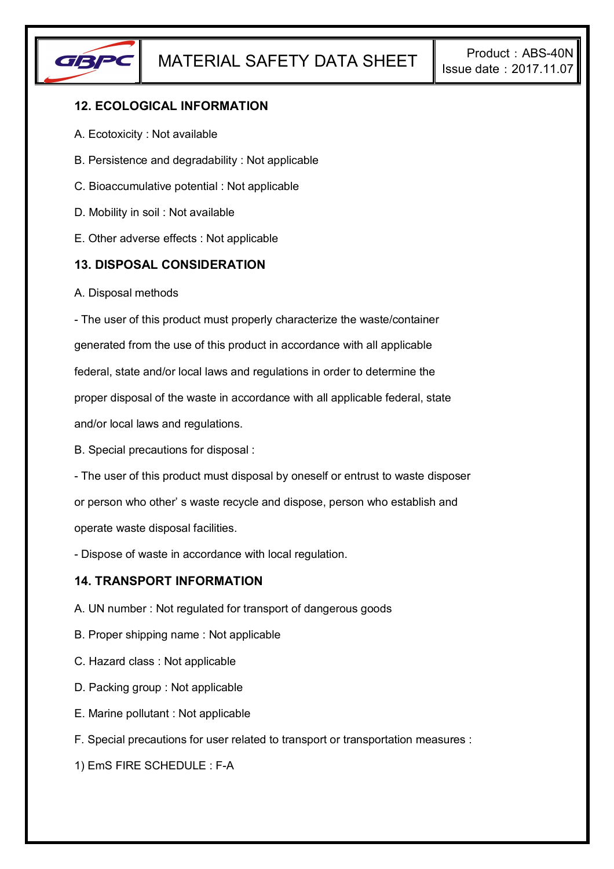

# **12. ECOLOGICAL INFORMATION**

- A. Ecotoxicity : Not available
- B. Persistence and degradability : Not applicable
- C. Bioaccumulative potential : Not applicable
- D. Mobility in soil : Not available
- E. Other adverse effects : Not applicable

### **13. DISPOSAL CONSIDERATION**

A. Disposal methods

- The user of this product must properly characterize the waste/container generated from the use of this product in accordance with all applicable federal, state and/or local laws and regulations in order to determine the proper disposal of the waste in accordance with all applicable federal, state and/or local laws and regulations.

B. Special precautions for disposal :

- The user of this product must disposal by oneself or entrust to waste disposer or person who other' s waste recycle and dispose, person who establish and operate waste disposal facilities.

- Dispose of waste in accordance with local regulation.

### **14. TRANSPORT INFORMATION**

- A. UN number : Not regulated for transport of dangerous goods
- B. Proper shipping name : Not applicable
- C. Hazard class : Not applicable
- D. Packing group : Not applicable
- E. Marine pollutant : Not applicable
- F. Special precautions for user related to transport or transportation measures :

1) EmS FIRE SCHEDULE : F-A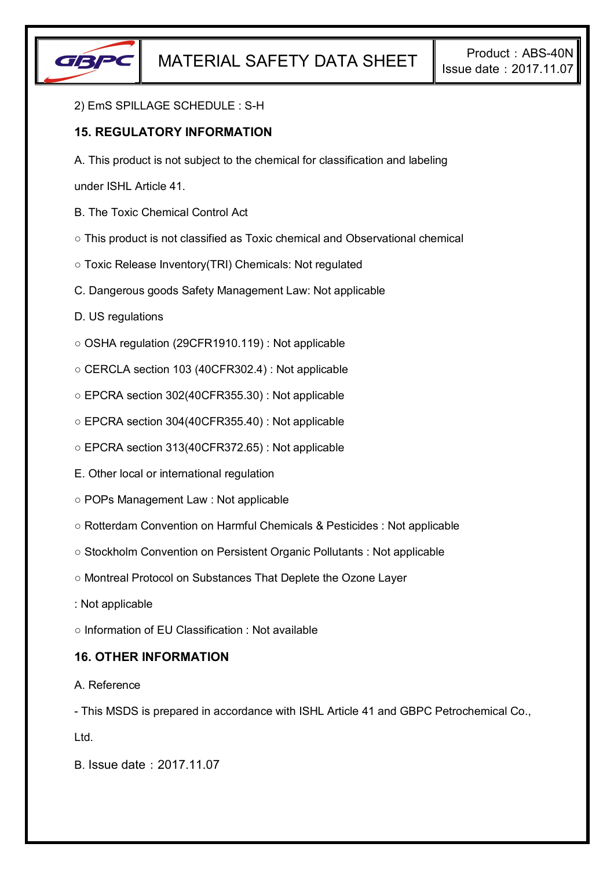

#### 2) EmS SPILLAGE SCHEDULE : S-H

## **15. REGULATORY INFORMATION**

A. This product is not subject to the chemical for classification and labeling

under ISHL Article 41.

- B. The Toxic Chemical Control Act
- This product is not classified as Toxic chemical and Observational chemical
- Toxic Release Inventory(TRI) Chemicals: Not regulated
- C. Dangerous goods Safety Management Law: Not applicable
- D. US regulations
- OSHA regulation (29CFR1910.119) : Not applicable
- CERCLA section 103 (40CFR302.4) : Not applicable
- EPCRA section 302(40CFR355.30) : Not applicable
- EPCRA section 304(40CFR355.40) : Not applicable
- EPCRA section 313(40CFR372.65) : Not applicable
- E. Other local or international regulation
- POPs Management Law : Not applicable
- Rotterdam Convention on Harmful Chemicals & Pesticides : Not applicable
- Stockholm Convention on Persistent Organic Pollutants : Not applicable
- Montreal Protocol on Substances That Deplete the Ozone Layer
- : Not applicable
- Information of EU Classification : Not available

### **16. OTHER INFORMATION**

### A. Reference

- This MSDS is prepared in accordance with ISHL Article 41 and GBPC Petrochemical Co.,

Ltd.

B. Issue date:2017.11.07